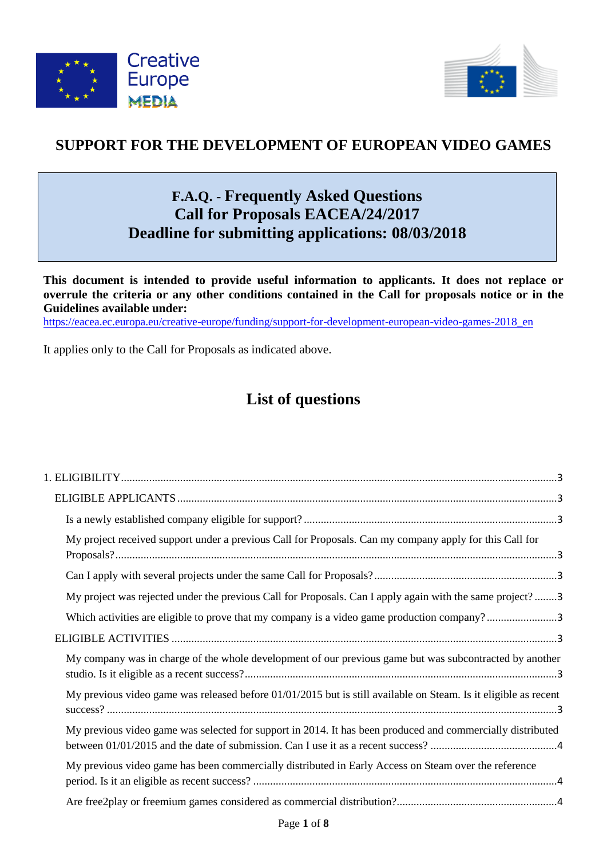



# **SUPPORT FOR THE DEVELOPMENT OF EUROPEAN VIDEO GAMES**

# **F.A.Q. - Frequently Asked Questions Call for Proposals EACEA/24/2017 Deadline for submitting applications: 08/03/2018**

**This document is intended to provide useful information to applicants. It does not replace or overrule the criteria or any other conditions contained in the Call for proposals notice or in the Guidelines available under:** 

[https://eacea.ec.europa.eu/creative-europe/funding/support-for-development-european-video-games-2018\\_en](https://eacea.ec.europa.eu/creative-europe/funding/support-for-development-european-video-games-2018_en)

It applies only to the Call for Proposals as indicated above.

# **List of questions**

| My project received support under a previous Call for Proposals. Can my company apply for this Call for         |  |
|-----------------------------------------------------------------------------------------------------------------|--|
|                                                                                                                 |  |
| My project was rejected under the previous Call for Proposals. Can I apply again with the same project?3        |  |
| Which activities are eligible to prove that my company is a video game production company?3                     |  |
|                                                                                                                 |  |
| My company was in charge of the whole development of our previous game but was subcontracted by another         |  |
| My previous video game was released before 01/01/2015 but is still available on Steam. Is it eligible as recent |  |
| My previous video game was selected for support in 2014. It has been produced and commercially distributed      |  |
| My previous video game has been commercially distributed in Early Access on Steam over the reference            |  |
|                                                                                                                 |  |
|                                                                                                                 |  |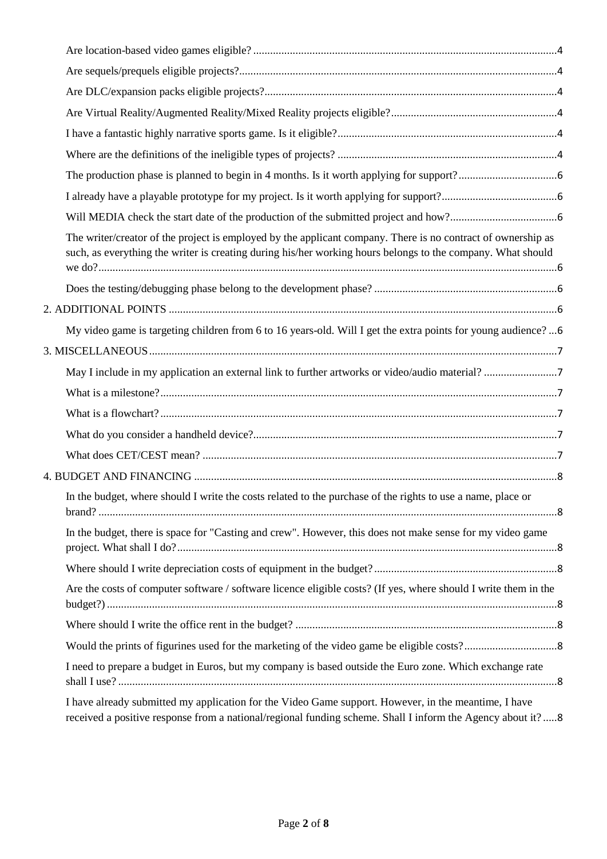| The writer/creator of the project is employed by the applicant company. There is no contract of ownership as<br>such, as everything the writer is creating during his/her working hours belongs to the company. What should |  |
|-----------------------------------------------------------------------------------------------------------------------------------------------------------------------------------------------------------------------------|--|
|                                                                                                                                                                                                                             |  |
|                                                                                                                                                                                                                             |  |
| My video game is targeting children from 6 to 16 years-old. Will I get the extra points for young audience?6                                                                                                                |  |
|                                                                                                                                                                                                                             |  |
|                                                                                                                                                                                                                             |  |
|                                                                                                                                                                                                                             |  |
|                                                                                                                                                                                                                             |  |
|                                                                                                                                                                                                                             |  |
|                                                                                                                                                                                                                             |  |
|                                                                                                                                                                                                                             |  |
| In the budget, where should I write the costs related to the purchase of the rights to use a name, place or                                                                                                                 |  |
| In the budget, there is space for "Casting and crew". However, this does not make sense for my video game                                                                                                                   |  |
|                                                                                                                                                                                                                             |  |
| Are the costs of computer software / software licence eligible costs? (If yes, where should I write them in the                                                                                                             |  |
|                                                                                                                                                                                                                             |  |
|                                                                                                                                                                                                                             |  |
| I need to prepare a budget in Euros, but my company is based outside the Euro zone. Which exchange rate                                                                                                                     |  |
| I have already submitted my application for the Video Game support. However, in the meantime, I have<br>received a positive response from a national/regional funding scheme. Shall I inform the Agency about it?8          |  |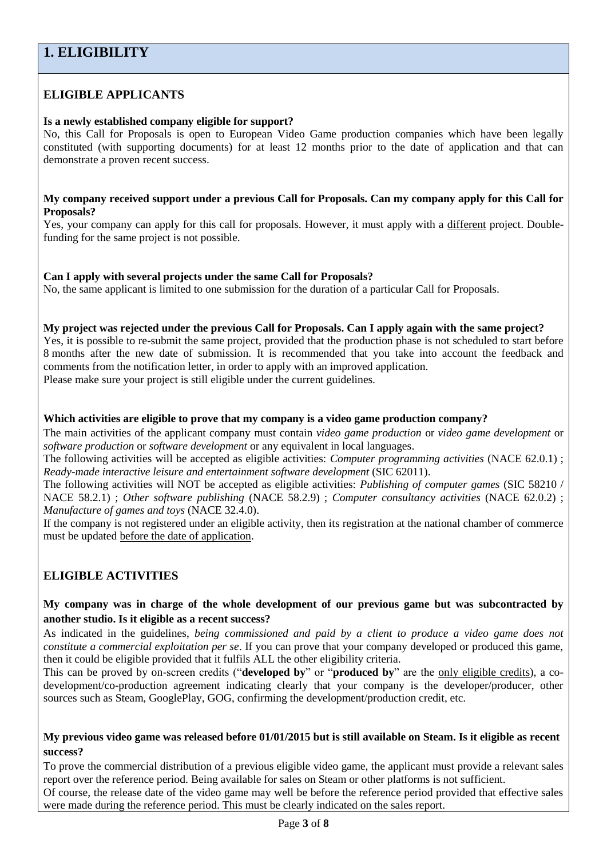# <span id="page-2-1"></span><span id="page-2-0"></span>**ELIGIBLE APPLICANTS**

# <span id="page-2-2"></span>**Is a newly established company eligible for support?**

No, this Call for Proposals is open to European Video Game production companies which have been legally constituted (with supporting documents) for at least 12 months prior to the date of application and that can demonstrate a proven recent success.

#### <span id="page-2-3"></span>**My company received support under a previous Call for Proposals. Can my company apply for this Call for Proposals?**

Yes, your company can apply for this call for proposals. However, it must apply with a different project. Doublefunding for the same project is not possible.

# <span id="page-2-4"></span>**Can I apply with several projects under the same Call for Proposals?**

No, the same applicant is limited to one submission for the duration of a particular Call for Proposals.

#### <span id="page-2-5"></span>**My project was rejected under the previous Call for Proposals. Can I apply again with the same project?**

Yes, it is possible to re-submit the same project, provided that the production phase is not scheduled to start before 8 months after the new date of submission. It is recommended that you take into account the feedback and comments from the notification letter, in order to apply with an improved application.

Please make sure your project is still eligible under the current guidelines.

# <span id="page-2-6"></span>**Which activities are eligible to prove that my company is a video game production company?**

The main activities of the applicant company must contain *video game production* or *video game development* or *software production* or *software development* or any equivalent in local languages.

The following activities will be accepted as eligible activities: *Computer programming activities* (NACE 62.0.1) ; *Ready-made interactive leisure and entertainment software development* (SIC 62011).

The following activities will NOT be accepted as eligible activities: *Publishing of computer games* (SIC 58210 / NACE 58.2.1) ; *Other software publishing* (NACE 58.2.9) ; *Computer consultancy activities* (NACE 62.0.2) ; *Manufacture of games and toys* (NACE 32.4.0).

If the company is not registered under an eligible activity, then its registration at the national chamber of commerce must be updated before the date of application.

# <span id="page-2-7"></span>**ELIGIBLE ACTIVITIES**

# <span id="page-2-8"></span>**My company was in charge of the whole development of our previous game but was subcontracted by another studio. Is it eligible as a recent success?**

As indicated in the guidelines, *being commissioned and paid by a client to produce a video game does not constitute a commercial exploitation per se*. If you can prove that your company developed or produced this game, then it could be eligible provided that it fulfils ALL the other eligibility criteria.

This can be proved by on-screen credits ("**developed by**" or "**produced by**" are the only eligible credits), a codevelopment/co-production agreement indicating clearly that your company is the developer/producer, other sources such as Steam, GooglePlay, GOG, confirming the development/production credit, etc.

# <span id="page-2-9"></span>**My previous video game was released before 01/01/2015 but is still available on Steam. Is it eligible as recent success?**

To prove the commercial distribution of a previous eligible video game, the applicant must provide a relevant sales report over the reference period. Being available for sales on Steam or other platforms is not sufficient.

Of course, the release date of the video game may well be before the reference period provided that effective sales were made during the reference period. This must be clearly indicated on the sales report.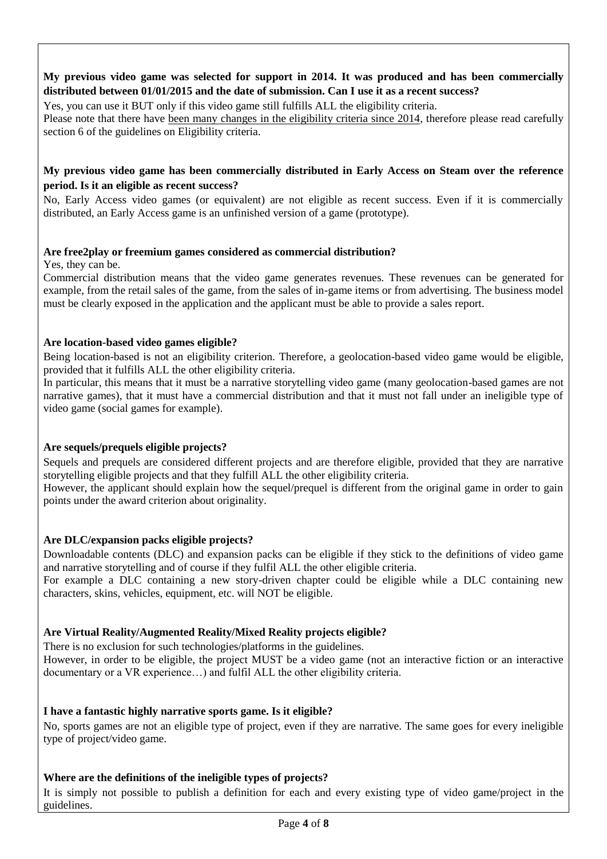# <span id="page-3-0"></span>**My previous video game was selected for support in 2014. It was produced and has been commercially distributed between 01/01/2015 and the date of submission. Can I use it as a recent success?**

Yes, you can use it BUT only if this video game still fulfills ALL the eligibility criteria. Please note that there have been many changes in the eligibility criteria since 2014, therefore please read carefully section 6 of the guidelines on Eligibility criteria.

# <span id="page-3-1"></span>**My previous video game has been commercially distributed in Early Access on Steam over the reference period. Is it an eligible as recent success?**

No, Early Access video games (or equivalent) are not eligible as recent success. Even if it is commercially distributed, an Early Access game is an unfinished version of a game (prototype).

# <span id="page-3-2"></span>**Are free2play or freemium games considered as commercial distribution?**

Yes, they can be.

Commercial distribution means that the video game generates revenues. These revenues can be generated for example, from the retail sales of the game, from the sales of in-game items or from advertising. The business model must be clearly exposed in the application and the applicant must be able to provide a sales report.

# <span id="page-3-3"></span>**Are location-based video games eligible?**

Being location-based is not an eligibility criterion. Therefore, a geolocation-based video game would be eligible, provided that it fulfills ALL the other eligibility criteria.

In particular, this means that it must be a narrative storytelling video game (many geolocation-based games are not narrative games), that it must have a commercial distribution and that it must not fall under an ineligible type of video game (social games for example).

# <span id="page-3-4"></span>**Are sequels/prequels eligible projects?**

Sequels and prequels are considered different projects and are therefore eligible, provided that they are narrative storytelling eligible projects and that they fulfill ALL the other eligibility criteria.

However, the applicant should explain how the sequel/prequel is different from the original game in order to gain points under the award criterion about originality.

# <span id="page-3-5"></span>**Are DLC/expansion packs eligible projects?**

Downloadable contents (DLC) and expansion packs can be eligible if they stick to the definitions of video game and narrative storytelling and of course if they fulfil ALL the other eligible criteria.

For example a DLC containing a new story-driven chapter could be eligible while a DLC containing new characters, skins, vehicles, equipment, etc. will NOT be eligible.

# <span id="page-3-6"></span>**Are Virtual Reality/Augmented Reality/Mixed Reality projects eligible?**

There is no exclusion for such technologies/platforms in the guidelines.

However, in order to be eligible, the project MUST be a video game (not an interactive fiction or an interactive documentary or a VR experience…) and fulfil ALL the other eligibility criteria.

# <span id="page-3-7"></span>**I have a fantastic highly narrative sports game. Is it eligible?**

No, sports games are not an eligible type of project, even if they are narrative. The same goes for every ineligible type of project/video game.

# <span id="page-3-8"></span>**Where are the definitions of the ineligible types of projects?**

It is simply not possible to publish a definition for each and every existing type of video game/project in the guidelines.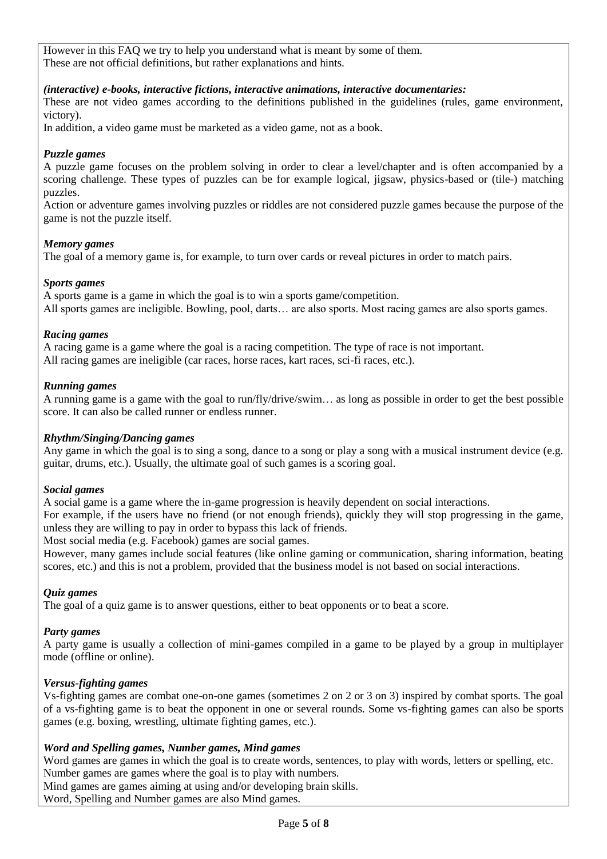However in this FAQ we try to help you understand what is meant by some of them. These are not official definitions, but rather explanations and hints.

#### *(interactive) e-books, interactive fictions, interactive animations, interactive documentaries:*

These are not video games according to the definitions published in the guidelines (rules, game environment, victory).

In addition, a video game must be marketed as a video game, not as a book.

#### *Puzzle games*

A puzzle game focuses on the problem solving in order to clear a level/chapter and is often accompanied by a scoring challenge. These types of puzzles can be for example logical, jigsaw, physics-based or (tile-) matching puzzles.

Action or adventure games involving puzzles or riddles are not considered puzzle games because the purpose of the game is not the puzzle itself.

#### *Memory games*

The goal of a memory game is, for example, to turn over cards or reveal pictures in order to match pairs.

#### *Sports games*

A sports game is a game in which the goal is to win a sports game/competition. All sports games are ineligible. Bowling, pool, darts… are also sports. Most racing games are also sports games.

#### *Racing games*

A racing game is a game where the goal is a racing competition. The type of race is not important. All racing games are ineligible (car races, horse races, kart races, sci-fi races, etc.).

#### *Running games*

A running game is a game with the goal to run/fly/drive/swim… as long as possible in order to get the best possible score. It can also be called runner or endless runner.

#### *Rhythm/Singing/Dancing games*

Any game in which the goal is to sing a song, dance to a song or play a song with a musical instrument device (e.g. guitar, drums, etc.). Usually, the ultimate goal of such games is a scoring goal.

#### *Social games*

A social game is a game where the in-game progression is heavily dependent on social interactions.

For example, if the users have no friend (or not enough friends), quickly they will stop progressing in the game, unless they are willing to pay in order to bypass this lack of friends.

Most social media (e.g. Facebook) games are social games.

However, many games include social features (like online gaming or communication, sharing information, beating scores, etc.) and this is not a problem, provided that the business model is not based on social interactions.

#### *Quiz games*

The goal of a quiz game is to answer questions, either to beat opponents or to beat a score.

#### *Party games*

A party game is usually a collection of mini-games compiled in a game to be played by a group in multiplayer mode (offline or online).

# *Versus-fighting games*

Vs-fighting games are combat one-on-one games (sometimes 2 on 2 or 3 on 3) inspired by combat sports. The goal of a vs-fighting game is to beat the opponent in one or several rounds. Some vs-fighting games can also be sports games (e.g. boxing, wrestling, ultimate fighting games, etc.).

#### *Word and Spelling games, Number games, Mind games*

Word games are games in which the goal is to create words, sentences, to play with words, letters or spelling, etc. Number games are games where the goal is to play with numbers.

Mind games are games aiming at using and/or developing brain skills.

Word, Spelling and Number games are also Mind games.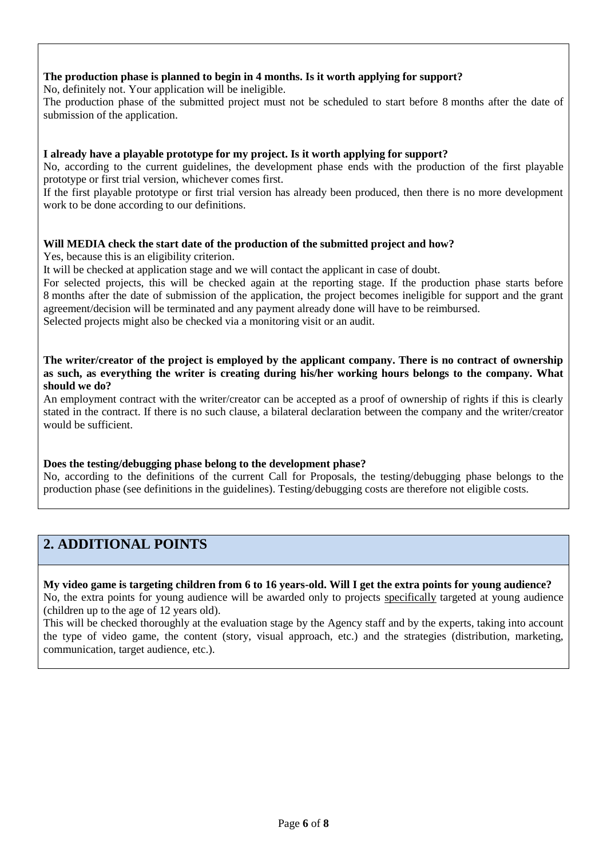# <span id="page-5-0"></span>**The production phase is planned to begin in 4 months. Is it worth applying for support?**

No, definitely not. Your application will be ineligible.

The production phase of the submitted project must not be scheduled to start before 8 months after the date of submission of the application.

# <span id="page-5-1"></span>**I already have a playable prototype for my project. Is it worth applying for support?**

No, according to the current guidelines, the development phase ends with the production of the first playable prototype or first trial version, whichever comes first.

If the first playable prototype or first trial version has already been produced, then there is no more development work to be done according to our definitions.

# <span id="page-5-2"></span>**Will MEDIA check the start date of the production of the submitted project and how?**

Yes, because this is an eligibility criterion.

It will be checked at application stage and we will contact the applicant in case of doubt.

For selected projects, this will be checked again at the reporting stage. If the production phase starts before 8 months after the date of submission of the application, the project becomes ineligible for support and the grant agreement/decision will be terminated and any payment already done will have to be reimbursed.

Selected projects might also be checked via a monitoring visit or an audit.

<span id="page-5-3"></span>**The writer/creator of the project is employed by the applicant company. There is no contract of ownership as such, as everything the writer is creating during his/her working hours belongs to the company. What should we do?**

An employment contract with the writer/creator can be accepted as a proof of ownership of rights if this is clearly stated in the contract. If there is no such clause, a bilateral declaration between the company and the writer/creator would be sufficient.

# <span id="page-5-4"></span>**Does the testing/debugging phase belong to the development phase?**

No, according to the definitions of the current Call for Proposals, the testing/debugging phase belongs to the production phase (see definitions in the guidelines). Testing/debugging costs are therefore not eligible costs.

# <span id="page-5-5"></span>**2. ADDITIONAL POINTS**

<span id="page-5-6"></span>**My video game is targeting children from 6 to 16 years-old. Will I get the extra points for young audience?** No, the extra points for young audience will be awarded only to projects specifically targeted at young audience (children up to the age of 12 years old).

This will be checked thoroughly at the evaluation stage by the Agency staff and by the experts, taking into account the type of video game, the content (story, visual approach, etc.) and the strategies (distribution, marketing, communication, target audience, etc.).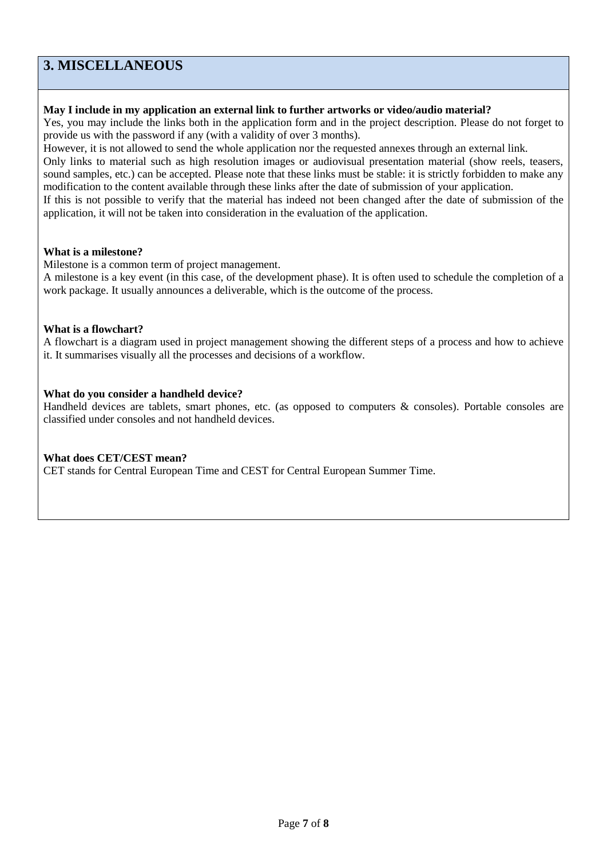# <span id="page-6-0"></span>**3. MISCELLANEOUS**

# <span id="page-6-1"></span>**May I include in my application an external link to further artworks or video/audio material?**

Yes, you may include the links both in the application form and in the project description. Please do not forget to provide us with the password if any (with a validity of over 3 months).

However, it is not allowed to send the whole application nor the requested annexes through an external link.

Only links to material such as high resolution images or audiovisual presentation material (show reels, teasers, sound samples, etc.) can be accepted. Please note that these links must be stable: it is strictly forbidden to make any modification to the content available through these links after the date of submission of your application.

If this is not possible to verify that the material has indeed not been changed after the date of submission of the application, it will not be taken into consideration in the evaluation of the application.

#### <span id="page-6-2"></span>**What is a milestone?**

Milestone is a common term of project management.

A milestone is a key event (in this case, of the development phase). It is often used to schedule the completion of a work package. It usually announces a deliverable, which is the outcome of the process.

#### <span id="page-6-3"></span>**What is a flowchart?**

A flowchart is a diagram used in project management showing the different steps of a process and how to achieve it. It summarises visually all the processes and decisions of a workflow.

#### <span id="page-6-4"></span>**What do you consider a handheld device?**

Handheld devices are tablets, smart phones, etc. (as opposed to computers & consoles). Portable consoles are classified under consoles and not handheld devices.

#### <span id="page-6-5"></span>**What does CET/CEST mean?**

CET stands for Central European Time and CEST for Central European Summer Time.